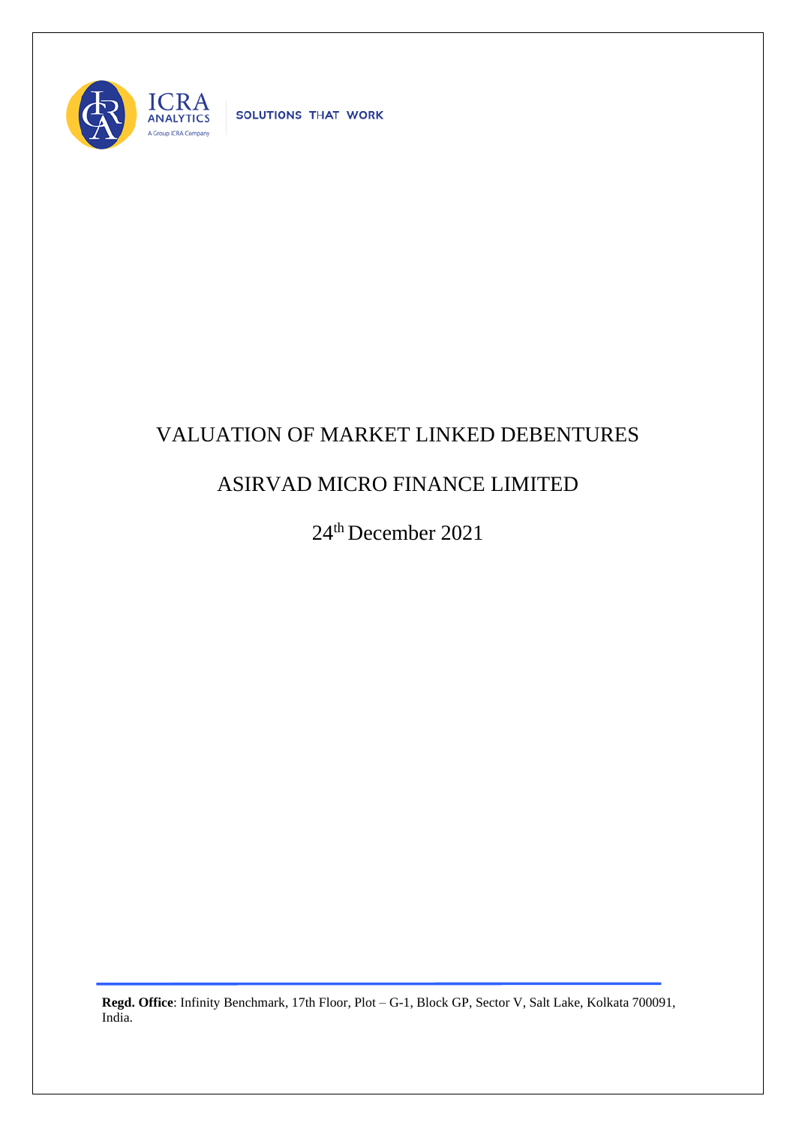

SOLUTIONS THAT WORK

## VALUATION OF MARKET LINKED DEBENTURES

## ASIRVAD MICRO FINANCE LIMITED

24th December 2021

**Regd. Office**: Infinity Benchmark, 17th Floor, Plot – G-1, Block GP, Sector V, Salt Lake, Kolkata 700091, India.